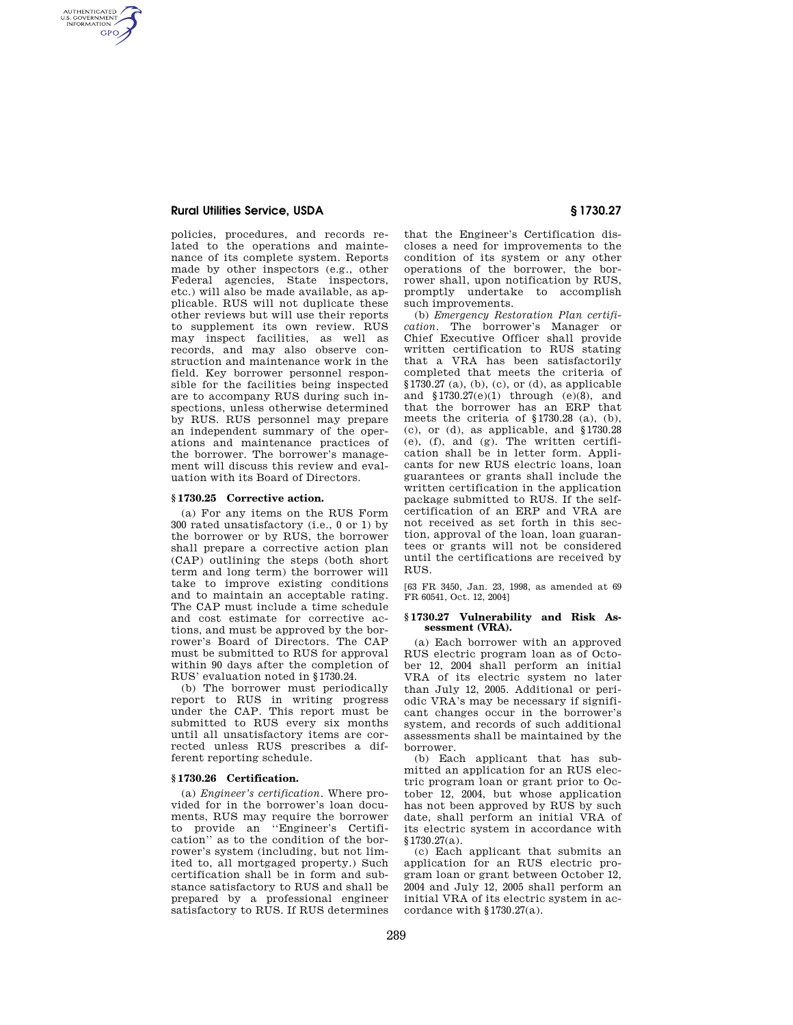# **Rural Utilities Service, USDA § 1730.27**

AUTHENTICATED<br>U.S. GOVERNMENT<br>INFORMATION **GPO** 

> policies, procedures, and records related to the operations and maintenance of its complete system. Reports made by other inspectors (e.g., other Federal agencies, State inspectors, etc.) will also be made available, as applicable. RUS will not duplicate these other reviews but will use their reports to supplement its own review. RUS may inspect facilities, as well as records, and may also observe construction and maintenance work in the field. Key borrower personnel responsible for the facilities being inspected are to accompany RUS during such inspections, unless otherwise determined by RUS. RUS personnel may prepare an independent summary of the operations and maintenance practices of the borrower. The borrower's management will discuss this review and evaluation with its Board of Directors.

### **§ 1730.25 Corrective action.**

(a) For any items on the RUS Form 300 rated unsatisfactory (i.e., 0 or 1) by the borrower or by RUS, the borrower shall prepare a corrective action plan (CAP) outlining the steps (both short term and long term) the borrower will take to improve existing conditions and to maintain an acceptable rating. The CAP must include a time schedule and cost estimate for corrective actions, and must be approved by the borrower's Board of Directors. The CAP must be submitted to RUS for approval within 90 days after the completion of RUS' evaluation noted in §1730.24.

(b) The borrower must periodically report to RUS in writing progress under the CAP. This report must be submitted to RUS every six months until all unsatisfactory items are corrected unless RUS prescribes a different reporting schedule.

# **§ 1730.26 Certification.**

(a) *Engineer's certification*. Where provided for in the borrower's loan documents, RUS may require the borrower to provide an ''Engineer's Certification'' as to the condition of the borrower's system (including, but not limited to, all mortgaged property.) Such certification shall be in form and substance satisfactory to RUS and shall be prepared by a professional engineer satisfactory to RUS. If RUS determines

that the Engineer's Certification discloses a need for improvements to the condition of its system or any other operations of the borrower, the borrower shall, upon notification by RUS, promptly undertake to accomplish such improvements.

(b) *Emergency Restoration Plan certification*. The borrower's Manager or Chief Executive Officer shall provide written certification to RUS stating that a VRA has been satisfactorily completed that meets the criteria of §1730.27 (a), (b), (c), or (d), as applicable and §1730.27(e)(1) through (e)(8), and that the borrower has an ERP that meets the criteria of §1730.28 (a), (b), (c), or (d), as applicable, and §1730.28 (e), (f), and (g). The written certification shall be in letter form. Applicants for new RUS electric loans, loan guarantees or grants shall include the written certification in the application package submitted to RUS. If the selfcertification of an ERP and VRA are not received as set forth in this section, approval of the loan, loan guarantees or grants will not be considered until the certifications are received by RUS.

[63 FR 3450, Jan. 23, 1998, as amended at 69 FR 60541, Oct. 12, 2004]

# **§ 1730.27 Vulnerability and Risk Assessment (VRA).**

(a) Each borrower with an approved RUS electric program loan as of October 12, 2004 shall perform an initial VRA of its electric system no later than July 12, 2005. Additional or periodic VRA's may be necessary if significant changes occur in the borrower's system, and records of such additional assessments shall be maintained by the borrower.

(b) Each applicant that has submitted an application for an RUS electric program loan or grant prior to October 12, 2004, but whose application has not been approved by RUS by such date, shall perform an initial VRA of its electric system in accordance with §1730.27(a).

(c) Each applicant that submits an application for an RUS electric program loan or grant between October 12, 2004 and July 12, 2005 shall perform an initial VRA of its electric system in accordance with §1730.27(a).